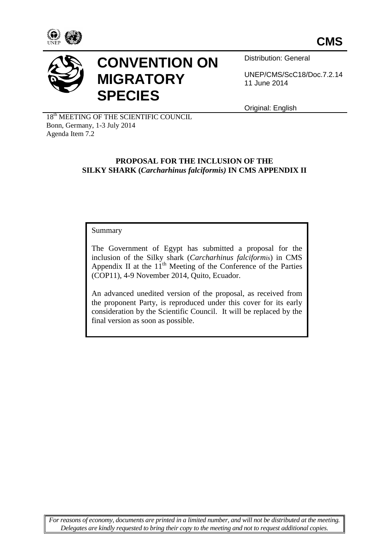



# **CONVENTION ON MIGRATORY SPECIES**

Distribution: General

UNEP/CMS/ScC18/Doc.7.2.14 11 June 2014

Original: English

18<sup>th</sup> MEETING OF THE SCIENTIFIC COUNCIL Bonn, Germany, 1-3 July 2014 Agenda Item 7.2

### **PROPOSAL FOR THE INCLUSION OF THE SILKY SHARK (***Carcharhinus falciformis)* **IN CMS APPENDIX II**

Summary

The Government of Egypt has submitted a proposal for the inclusion of the Silky shark (*Carcharhinus falciformis*) in CMS Appendix II at the  $11<sup>th</sup>$  Meeting of the Conference of the Parties (COP11), 4-9 November 2014, Quito, Ecuador.

An advanced unedited version of the proposal, as received from the proponent Party, is reproduced under this cover for its early consideration by the Scientific Council. It will be replaced by the final version as soon as possible.

*For reasons of economy, documents are printed in a limited number, and will not be distributed at the meeting. Delegates are kindly requested to bring their copy to the meeting and not to request additional copies.*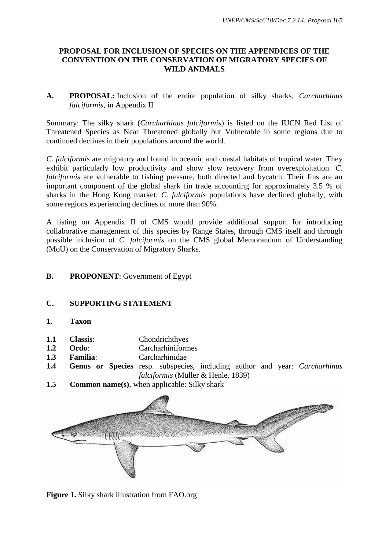## **PROPOSAL FOR INCLUSION OF SPECIES ON THE APPENDICES OF THE CONVENTION ON THE CONSERVATION OF MIGRATORY SPECIES OF WILD ANIMALS**

**A. PROPOSAL:** Inclusion of the entire population of silky sharks, *Carcharhinus falciformis*, in Appendix II

Summary: The silky shark (*Carcharhinus falciformis*) is listed on the IUCN Red List of Threatened Species as Near Threatened globally but Vulnerable in some regions due to continued declines in their populations around the world.

*C. falciformis* are migratory and found in oceanic and coastal habitats of tropical water. They exhibit particularly low productivity and show slow recovery from overexploitation. *C. falciformis* are vulnerable to fishing pressure, both directed and bycatch. Their fins are an important component of the global shark fin trade accounting for approximately 3.5 % of sharks in the Hong Kong market. *C. falciformis* populations have declined globally, with some regions experiencing declines of more than 90%.

A listing on Appendix II of CMS would provide additional support for introducing collaborative management of this species by Range States, through CMS itself and through possible inclusion of *C. falciformis* on the CMS global Memorandum of Understanding (MoU) on the Conservation of Migratory Sharks.

## **B. PROPONENT**: Government of Egypt

## **C. SUPPORTING STATEMENT**

- **1. Taxon**
- **1.1 Classis**: Chondrichthyes
- **1.2 Ordo**: Carcharhiniformes
- **1.3 Familia**: Carcharhinidae
- **1.4 Genus or Species** resp. subspecies, including author and year: *Carcharhinus falciformis* (Müller & Henle, 1839)
- **1.5 Common name(s)**, when applicable: Silky shark



**Figure 1.** Silky shark illustration from FAO.org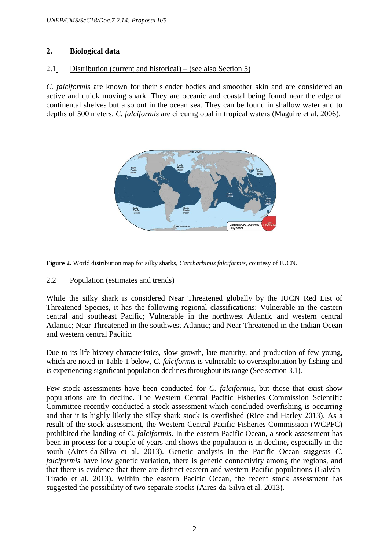# **2. Biological data**

#### 2.1 Distribution (current and historical) – (see also Section 5)

*C. falciformis* are known for their slender bodies and smoother skin and are considered an active and quick moving shark. They are oceanic and coastal being found near the edge of continental shelves but also out in the ocean sea. They can be found in shallow water and to depths of 500 meters. *C. falciformis* are circumglobal in tropical waters (Maguire et al. 2006).



**Figure 2.** World distribution map for silky sharks, *Carcharhinus falciformis*, courtesy of IUCN.

#### 2.2 Population (estimates and trends)

While the silky shark is considered Near Threatened globally by the IUCN Red List of Threatened Species, it has the following regional classifications: Vulnerable in the eastern central and southeast Pacific; Vulnerable in the northwest Atlantic and western central Atlantic; Near Threatened in the southwest Atlantic; and Near Threatened in the Indian Ocean and western central Pacific.

Due to its life history characteristics, slow growth, late maturity, and production of few young, which are noted in Table 1 below, *C. falciformis* is vulnerable to overexploitation by fishing and is experiencing significant population declines throughout its range (See section 3.1).

Few stock assessments have been conducted for *C. falciformis*, but those that exist show populations are in decline. The Western Central Pacific Fisheries Commission Scientific Committee recently conducted a stock assessment which concluded overfishing is occurring and that it is highly likely the silky shark stock is overfished (Rice and Harley 2013). As a result of the stock assessment, the Western Central Pacific Fisheries Commission (WCPFC) prohibited the landing of *C. falciformis*. In the eastern Pacific Ocean, a stock assessment has been in process for a couple of years and shows the population is in decline, especially in the south (Aires-da-Silva et al. 2013). Genetic analysis in the Pacific Ocean suggests *C. falciformis* have low genetic variation, there is genetic connectivity among the regions, and that there is evidence that there are distinct eastern and western Pacific populations (Galván-Tirado et al. 2013). Within the eastern Pacific Ocean, the recent stock assessment has suggested the possibility of two separate stocks (Aires-da-Silva et al. 2013).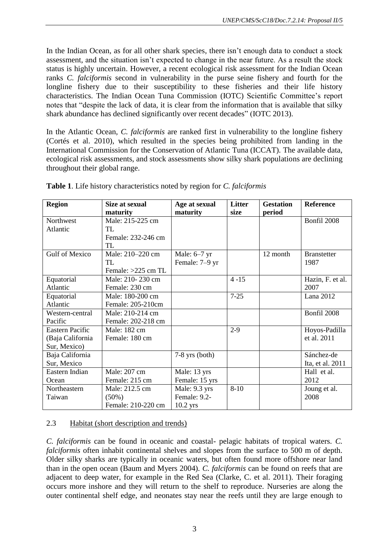In the Indian Ocean, as for all other shark species, there isn't enough data to conduct a stock assessment, and the situation isn't expected to change in the near future. As a result the stock status is highly uncertain. However, a recent ecological risk assessment for the Indian Ocean ranks *C. falciformis* second in vulnerability in the purse seine fishery and fourth for the longline fishery due to their susceptibility to these fisheries and their life history characteristics. The Indian Ocean Tuna Commission (IOTC) Scientific Committee's report notes that "despite the lack of data, it is clear from the information that is available that silky shark abundance has declined significantly over recent decades" (IOTC 2013).

In the Atlantic Ocean, *C. falciformis* are ranked first in vulnerability to the longline fishery (Cortés et al. 2010), which resulted in the species being prohibited from landing in the International Commission for the Conservation of Atlantic Tuna (ICCAT). The available data, ecological risk assessments, and stock assessments show silky shark populations are declining throughout their global range.

| <b>Region</b>          | Size at sexual     | Age at sexual    | <b>Litter</b> | <b>Gestation</b> | <b>Reference</b>   |
|------------------------|--------------------|------------------|---------------|------------------|--------------------|
|                        | maturity           | maturity         | size          | period           |                    |
| Northwest              | Male: 215-225 cm   |                  |               |                  | Bonfil 2008        |
| Atlantic               | TL                 |                  |               |                  |                    |
|                        | Female: 232-246 cm |                  |               |                  |                    |
|                        | TL.                |                  |               |                  |                    |
| <b>Gulf of Mexico</b>  | Male: 210–220 cm   | Male: $6-7$ yr   |               | 12 month         | <b>Branstetter</b> |
|                        | TL                 | Female: 7-9 yr   |               |                  | 1987               |
|                        | Female: >225 cm TL |                  |               |                  |                    |
| Equatorial             | Male: 210-230 cm   |                  | $4 - 15$      |                  | Hazin, F. et al.   |
| Atlantic               | Female: 230 cm     |                  |               |                  | 2007               |
| Equatorial             | Male: 180-200 cm   |                  | $7 - 25$      |                  | Lana 2012          |
| Atlantic               | Female: 205-210cm  |                  |               |                  |                    |
| Western-central        | Male: 210-214 cm   |                  |               |                  | Bonfil 2008        |
| Pacific                | Female: 202-218 cm |                  |               |                  |                    |
| <b>Eastern Pacific</b> | Male: 182 cm       |                  | $2-9$         |                  | Hoyos-Padilla      |
| (Baja California       | Female: 180 cm     |                  |               |                  | et al. 2011        |
| Sur, Mexico)           |                    |                  |               |                  |                    |
| Baja California        |                    | $7-8$ yrs (both) |               |                  | Sánchez-de         |
| Sur, Mexico            |                    |                  |               |                  | Ita, et al. 2011   |
| Eastern Indian         | Male: 207 cm       | Male: 13 yrs     |               |                  | Hall et al.        |
| Ocean                  | Female: 215 cm     | Female: 15 yrs   |               |                  | 2012               |
| Northeastern           | Male: 212.5 cm     | Male: 9.3 yrs    | $8 - 10$      |                  | Joung et al.       |
| Taiwan                 | $(50\%)$           | Female: 9.2-     |               |                  | 2008               |
|                        | Female: 210-220 cm | $10.2$ yrs       |               |                  |                    |

**Table 1**. Life history characteristics noted by region for *C. falciformis*

# 2.3 Habitat (short description and trends)

*C. falciformis* can be found in oceanic and coastal- pelagic habitats of tropical waters. *C. falciformis* often inhabit continental shelves and slopes from the surface to 500 m of depth. Older silky sharks are typically in oceanic waters, but often found more offshore near land than in the open ocean (Baum and Myers 2004). *C. falciformis* can be found on reefs that are adjacent to deep water, for example in the Red Sea (Clarke, C. et al. 2011). Their foraging occurs more inshore and they will return to the shelf to reproduce. Nurseries are along the outer continental shelf edge, and neonates stay near the reefs until they are large enough to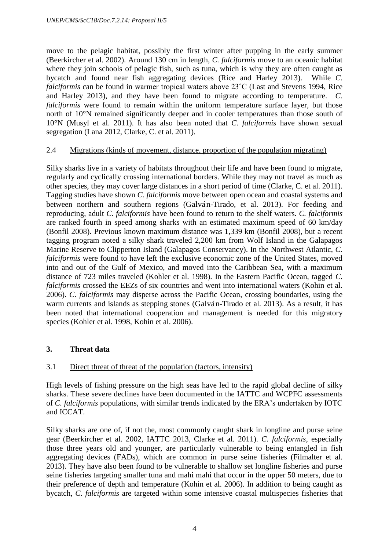move to the pelagic habitat, possibly the first winter after pupping in the early summer (Beerkircher et al. 2002). Around 130 cm in length, *C. falciformis* move to an oceanic habitat where they join schools of pelagic fish, such as tuna, which is why they are often caught as bycatch and found near fish aggregating devices (Rice and Harley 2013). While *C. falciformis* can be found in warmer tropical waters above 23˚C (Last and Stevens 1994, Rice and Harley 2013), and they have been found to migrate according to temperature. *C. falciformis* were found to remain within the uniform temperature surface layer, but those north of 10°N remained significantly deeper and in cooler temperatures than those south of 10°N (Musyl et al. 2011). It has also been noted that *C. falciformis* have shown sexual segregation (Lana 2012, Clarke, C. et al. 2011).

#### 2.4 Migrations (kinds of movement, distance, proportion of the population migrating)

Silky sharks live in a variety of habitats throughout their life and have been found to migrate, regularly and cyclically crossing international borders. While they may not travel as much as other species, they may cover large distances in a short period of time (Clarke, C. et al. 2011). Tagging studies have shown *C. falciformis* move between open ocean and coastal systems and between northern and southern regions (Galva´n-Tirado, et al. 2013). For feeding and reproducing, adult *C. falciformis* have been found to return to the shelf waters. *C. falciformis* are ranked fourth in speed among sharks with an estimated maximum speed of 60 km/day (Bonfil 2008). Previous known maximum distance was 1,339 km (Bonfil 2008), but a recent tagging program noted a silky shark traveled 2,200 km from Wolf Island in the Galapagos Marine Reserve to Clipperton Island (Galapagos Conservancy). In the Northwest Atlantic, *C. falciformis* were found to have left the exclusive economic zone of the United States, moved into and out of the Gulf of Mexico, and moved into the Caribbean Sea, with a maximum distance of 723 miles traveled (Kohler et al. 1998). In the Eastern Pacific Ocean, tagged *C. falciformis* crossed the EEZs of six countries and went into international waters (Kohin et al. 2006). *C. falciformis* may disperse across the Pacific Ocean, crossing boundaries, using the warm currents and islands as stepping stones (Galva<sup>n</sup>-Tirado et al. 2013). As a result, it has been noted that international cooperation and management is needed for this migratory species (Kohler et al. 1998, Kohin et al. 2006).

## **3. Threat data**

## 3.1 Direct threat of threat of the population (factors, intensity)

High levels of fishing pressure on the high seas have led to the rapid global decline of silky sharks. These severe declines have been documented in the IATTC and WCPFC assessments of *C. falciformis* populations, with similar trends indicated by the ERA's undertaken by IOTC and ICCAT.

Silky sharks are one of, if not the, most commonly caught shark in longline and purse seine gear (Beerkircher et al. 2002, IATTC 2013, Clarke et al. 2011). *C. falciformis*, especially those three years old and younger, are particularly vulnerable to being entangled in fish aggregating devices (FADs), which are common in purse seine fisheries (Filmalter et al. 2013). They have also been found to be vulnerable to shallow set longline fisheries and purse seine fisheries targeting smaller tuna and mahi mahi that occur in the upper 50 meters, due to their preference of depth and temperature (Kohin et al. 2006). In addition to being caught as bycatch, *C. falciformis* are targeted within some intensive coastal multispecies fisheries that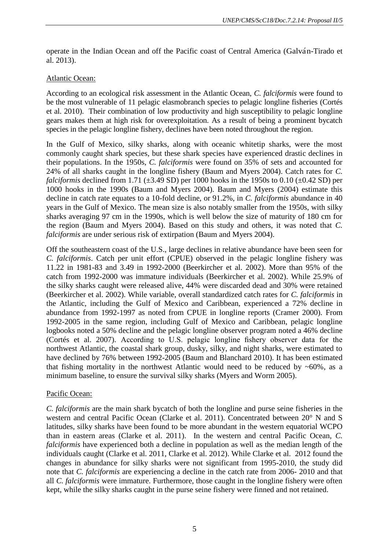operate in the Indian Ocean and off the Pacific coast of Central America (Galva´n-Tirado et al. 2013).

#### Atlantic Ocean:

According to an ecological risk assessment in the Atlantic Ocean, *C. falciformis* were found to be the most vulnerable of 11 pelagic elasmobranch species to pelagic longline fisheries (Cortés et al. 2010). Their combination of low productivity and high susceptibility to pelagic longline gears makes them at high risk for overexploitation. As a result of being a prominent bycatch species in the pelagic longline fishery, declines have been noted throughout the region.

In the Gulf of Mexico, silky sharks, along with oceanic whitetip sharks, were the most commonly caught shark species, but these shark species have experienced drastic declines in their populations. In the 1950s, *C. falciformis* were found on 35% of sets and accounted for 24% of all sharks caught in the longline fishery (Baum and Myers 2004). Catch rates for *C. falciformis* declined from 1.71 ( $\pm$ 3.49 SD) per 1000 hooks in the 1950s to 0.10 ( $\pm$ 0.42 SD) per 1000 hooks in the 1990s (Baum and Myers 2004). Baum and Myers (2004) estimate this decline in catch rate equates to a 10-fold decline, or 91.2%, in *C. falciformis* abundance in 40 years in the Gulf of Mexico. The mean size is also notably smaller from the 1950s, with silky sharks averaging 97 cm in the 1990s, which is well below the size of maturity of 180 cm for the region (Baum and Myers 2004). Based on this study and others, it was noted that *C. falciformis* are under serious risk of extirpation (Baum and Myers 2004).

Off the southeastern coast of the U.S., large declines in relative abundance have been seen for *C. falciformis*. Catch per unit effort (CPUE) observed in the pelagic longline fishery was 11.22 in 1981-83 and 3.49 in 1992-2000 (Beerkircher et al. 2002). More than 95% of the catch from 1992-2000 was immature individuals (Beerkircher et al. 2002). While 25.9% of the silky sharks caught were released alive, 44% were discarded dead and 30% were retained (Beerkircher et al. 2002). While variable, overall standardized catch rates for *C. falciformis* in the Atlantic, including the Gulf of Mexico and Caribbean, experienced a 72% decline in abundance from 1992-1997 as noted from CPUE in longline reports (Cramer 2000). From 1992-2005 in the same region, including Gulf of Mexico and Caribbean, pelagic longline logbooks noted a 50% decline and the pelagic longline observer program noted a 46% decline (Cortés et al. 2007). According to U.S. pelagic longline fishery observer data for the northwest Atlantic, the coastal shark group, dusky, silky, and night sharks, were estimated to have declined by 76% between 1992-2005 (Baum and Blanchard 2010). It has been estimated that fishing mortality in the northwest Atlantic would need to be reduced by  $~60\%$ , as a minimum baseline, to ensure the survival silky sharks (Myers and Worm 2005).

#### Pacific Ocean:

*C. falciformis* are the main shark bycatch of both the longline and purse seine fisheries in the western and central Pacific Ocean (Clarke et al. 2011). Concentrated between 20° N and S latitudes, silky sharks have been found to be more abundant in the western equatorial WCPO than in eastern areas (Clarke et al. 2011). In the western and central Pacific Ocean, *C. falciformis* have experienced both a decline in population as well as the median length of the individuals caught (Clarke et al. 2011, Clarke et al. 2012). While Clarke et al. 2012 found the changes in abundance for silky sharks were not significant from 1995-2010, the study did note that *C. falciformis* are experiencing a decline in the catch rate from 2006- 2010 and that all *C. falciformis* were immature. Furthermore, those caught in the longline fishery were often kept, while the silky sharks caught in the purse seine fishery were finned and not retained.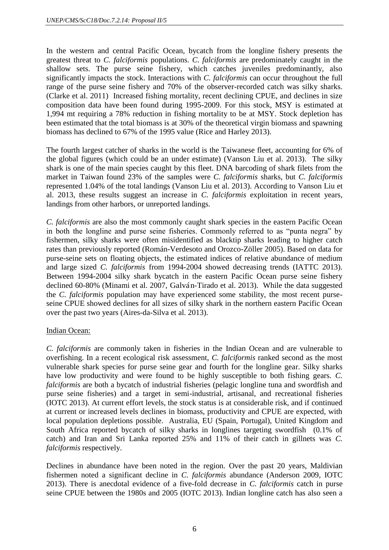In the western and central Pacific Ocean, bycatch from the longline fishery presents the greatest threat to *C. falciformis* populations. *C. falciformis* are predominately caught in the shallow sets. The purse seine fishery, which catches juveniles predominantly, also significantly impacts the stock. Interactions with *C. falciformis* can occur throughout the full range of the purse seine fishery and 70% of the observer-recorded catch was silky sharks. (Clarke et al. 2011) Increased fishing mortality, recent declining CPUE, and declines in size composition data have been found during 1995-2009. For this stock, MSY is estimated at 1,994 mt requiring a 78% reduction in fishing mortality to be at MSY. Stock depletion has been estimated that the total biomass is at 30% of the theoretical virgin biomass and spawning biomass has declined to 67% of the 1995 value (Rice and Harley 2013).

The fourth largest catcher of sharks in the world is the Taiwanese fleet, accounting for 6% of the global figures (which could be an under estimate) (Vanson Liu et al. 2013). The silky shark is one of the main species caught by this fleet. DNA barcoding of shark filets from the market in Taiwan found 23% of the samples were *C. falciformis* sharks, but *C. falciformis* represented 1.04% of the total landings (Vanson Liu et al. 2013). According to Vanson Liu et al. 2013, these results suggest an increase in *C. falciformis* exploitation in recent years, landings from other harbors, or unreported landings.

*C. falciformis* are also the most commonly caught shark species in the eastern Pacific Ocean in both the longline and purse seine fisheries. Commonly referred to as "punta negra" by fishermen, silky sharks were often misidentified as blacktip sharks leading to higher catch rates than previously reported (Román-Verdesoto and Orozco-Zöller 2005). Based on data for purse-seine sets on floating objects, the estimated indices of relative abundance of medium and large sized *C. falciformis* from 1994-2004 showed decreasing trends (IATTC 2013). Between 1994-2004 silky shark bycatch in the eastern Pacific Ocean purse seine fishery declined 60-80% (Minami et al. 2007, Galván-Tirado et al. 2013). While the data suggested the *C. falciformis* population may have experienced some stability, the most recent purseseine CPUE showed declines for all sizes of silky shark in the northern eastern Pacific Ocean over the past two years (Aires-da-Silva et al. 2013).

## Indian Ocean:

*C. falciformis* are commonly taken in fisheries in the Indian Ocean and are vulnerable to overfishing. In a recent ecological risk assessment, *C. falciformis* ranked second as the most vulnerable shark species for purse seine gear and fourth for the longline gear. Silky sharks have low productivity and were found to be highly susceptible to both fishing gears. *C. falciformis* are both a bycatch of industrial fisheries (pelagic longline tuna and swordfish and purse seine fisheries) and a target in semi-industrial, artisanal, and recreational fisheries (IOTC 2013). At current effort levels, the stock status is at considerable risk, and if continued at current or increased levels declines in biomass, productivity and CPUE are expected, with local population depletions possible. Australia, EU (Spain, Portugal), United Kingdom and South Africa reported bycatch of silky sharks in longlines targeting swordfish (0.1% of catch) and Iran and Sri Lanka reported 25% and 11% of their catch in gillnets was *C. falciformis* respectively.

Declines in abundance have been noted in the region. Over the past 20 years, Maldivian fishermen noted a significant decline in *C. falciformis* abundance (Anderson 2009, IOTC 2013). There is anecdotal evidence of a five-fold decrease in *C. falciformis* catch in purse seine CPUE between the 1980s and 2005 (IOTC 2013). Indian longline catch has also seen a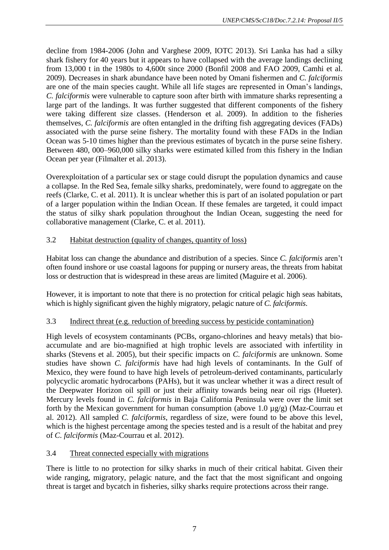decline from 1984-2006 (John and Varghese 2009, IOTC 2013). Sri Lanka has had a silky shark fishery for 40 years but it appears to have collapsed with the average landings declining from 13,000 t in the 1980s to 4,600t since 2000 (Bonfil 2008 and FAO 2009, Camhi et al. 2009). Decreases in shark abundance have been noted by Omani fishermen and *C. falciformis* are one of the main species caught. While all life stages are represented in Oman's landings, *C. falciformis* were vulnerable to capture soon after birth with immature sharks representing a large part of the landings. It was further suggested that different components of the fishery were taking different size classes. (Henderson et al. 2009). In addition to the fisheries themselves, *C. falciformis* are often entangled in the drifting fish aggregating devices (FADs) associated with the purse seine fishery. The mortality found with these FADs in the Indian Ocean was 5-10 times higher than the previous estimates of bycatch in the purse seine fishery. Between 480, 000–960,000 silky sharks were estimated killed from this fishery in the Indian Ocean per year (Filmalter et al. 2013).

Overexploitation of a particular sex or stage could disrupt the population dynamics and cause a collapse. In the Red Sea, female silky sharks, predominately, were found to aggregate on the reefs (Clarke, C. et al. 2011). It is unclear whether this is part of an isolated population or part of a larger population within the Indian Ocean. If these females are targeted, it could impact the status of silky shark population throughout the Indian Ocean, suggesting the need for collaborative management (Clarke, C. et al. 2011).

# 3.2 Habitat destruction (quality of changes, quantity of loss)

Habitat loss can change the abundance and distribution of a species. Since *C. falciformis* aren't often found inshore or use coastal lagoons for pupping or nursery areas, the threats from habitat loss or destruction that is widespread in these areas are limited (Maguire et al. 2006).

However, it is important to note that there is no protection for critical pelagic high seas habitats, which is highly significant given the highly migratory, pelagic nature of *C. falciformis*.

## 3.3 Indirect threat (e.g. reduction of breeding success by pesticide contamination)

High levels of ecosystem contaminants (PCBs, organo-chlorines and heavy metals) that bioaccumulate and are bio-magnified at high trophic levels are associated with infertility in sharks (Stevens et al. 2005), but their specific impacts on *C. falciformis* are unknown. Some studies have shown *C. falciformis* have had high levels of contaminants. In the Gulf of Mexico, they were found to have high levels of petroleum-derived contaminants, particularly polycyclic aromatic hydrocarbons (PAHs), but it was unclear whether it was a direct result of the Deepwater Horizon oil spill or just their affinity towards being near oil rigs (Hueter). Mercury levels found in *C. falciformis* in Baja California Peninsula were over the limit set forth by the Mexican government for human consumption (above 1.0  $\mu$ g/g) (Maz-Courrau et al. 2012). All sampled *C. falciformis*, regardless of size, were found to be above this level, which is the highest percentage among the species tested and is a result of the habitat and prey of *C. falciformis* (Maz-Courrau et al. 2012).

# 3.4 Threat connected especially with migrations

There is little to no protection for silky sharks in much of their critical habitat. Given their wide ranging, migratory, pelagic nature, and the fact that the most significant and ongoing threat is target and bycatch in fisheries, silky sharks require protections across their range.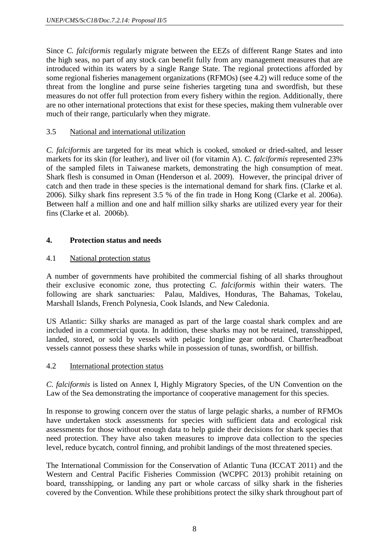Since *C. falciformis* regularly migrate between the EEZs of different Range States and into the high seas, no part of any stock can benefit fully from any management measures that are introduced within its waters by a single Range State. The regional protections afforded by some regional fisheries management organizations (RFMOs) (see 4.2) will reduce some of the threat from the longline and purse seine fisheries targeting tuna and swordfish, but these measures do not offer full protection from every fishery within the region. Additionally, there are no other international protections that exist for these species, making them vulnerable over much of their range, particularly when they migrate.

## 3.5 National and international utilization

*C. falciformis* are targeted for its meat which is cooked, smoked or dried-salted, and lesser markets for its skin (for leather), and liver oil (for vitamin A). *C. falciformis* represented 23% of the sampled filets in Taiwanese markets, demonstrating the high consumption of meat. Shark flesh is consumed in Oman (Henderson et al. 2009). However, the principal driver of catch and then trade in these species is the international demand for shark fins. (Clarke et al. 2006). Silky shark fins represent 3.5 % of the fin trade in Hong Kong (Clarke et al. 2006a). Between half a million and one and half million silky sharks are utilized every year for their fins (Clarke et al. 2006b).

# **4. Protection status and needs**

# 4.1 National protection status

A number of governments have prohibited the commercial fishing of all sharks throughout their exclusive economic zone, thus protecting *C. falciformis* within their waters. The following are shark sanctuaries: Palau, Maldives, Honduras, The Bahamas, Tokelau, Marshall Islands, French Polynesia, Cook Islands, and New Caledonia.

US Atlantic: Silky sharks are managed as part of the large coastal shark complex and are included in a commercial quota. In addition, these sharks may not be retained, transshipped, landed, stored, or sold by vessels with pelagic longline gear onboard. Charter/headboat vessels cannot possess these sharks while in possession of tunas, swordfish, or billfish.

## 4.2 International protection status

*C. falciformis* is listed on Annex I, Highly Migratory Species, of the UN Convention on the Law of the Sea demonstrating the importance of cooperative management for this species.

In response to growing concern over the status of large pelagic sharks, a number of RFMOs have undertaken stock assessments for species with sufficient data and ecological risk assessments for those without enough data to help guide their decisions for shark species that need protection. They have also taken measures to improve data collection to the species level, reduce bycatch, control finning, and prohibit landings of the most threatened species.

The International Commission for the Conservation of Atlantic Tuna (ICCAT 2011) and the Western and Central Pacific Fisheries Commission (WCPFC 2013) prohibit retaining on board, transshipping, or landing any part or whole carcass of silky shark in the fisheries covered by the Convention. While these prohibitions protect the silky shark throughout part of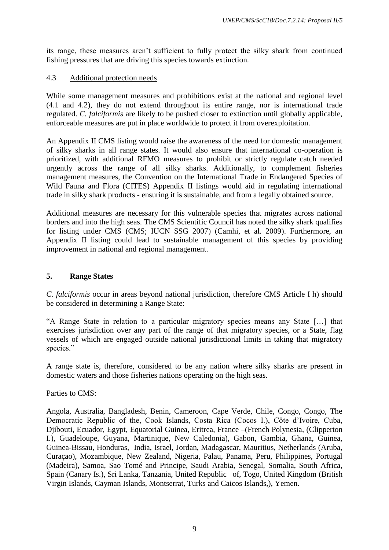its range, these measures aren't sufficient to fully protect the silky shark from continued fishing pressures that are driving this species towards extinction.

## 4.3 Additional protection needs

While some management measures and prohibitions exist at the national and regional level (4.1 and 4.2), they do not extend throughout its entire range, nor is international trade regulated. *C. falciformis* are likely to be pushed closer to extinction until globally applicable, enforceable measures are put in place worldwide to protect it from overexploitation.

An Appendix II CMS listing would raise the awareness of the need for domestic management of silky sharks in all range states. It would also ensure that international co-operation is prioritized, with additional RFMO measures to prohibit or strictly regulate catch needed urgently across the range of all silky sharks. Additionally, to complement fisheries management measures, the Convention on the International Trade in Endangered Species of Wild Fauna and Flora (CITES) Appendix II listings would aid in regulating international trade in silky shark products - ensuring it is sustainable, and from a legally obtained source.

Additional measures are necessary for this vulnerable species that migrates across national borders and into the high seas. The CMS Scientific Council has noted the silky shark qualifies for listing under CMS (CMS; IUCN SSG 2007) (Camhi, et al. 2009). Furthermore, an Appendix II listing could lead to sustainable management of this species by providing improvement in national and regional management.

## **5. Range States**

*C. falciformis* occur in areas beyond national jurisdiction, therefore CMS Article I h) should be considered in determining a Range State:

"A Range State in relation to a particular migratory species means any State […] that exercises jurisdiction over any part of the range of that migratory species, or a State, flag vessels of which are engaged outside national jurisdictional limits in taking that migratory species."

A range state is, therefore, considered to be any nation where silky sharks are present in domestic waters and those fisheries nations operating on the high seas.

Parties to CMS:

Angola, Australia, Bangladesh, Benin, Cameroon, Cape Verde, Chile, Congo, Congo, The Democratic Republic of the, Cook Islands, Costa Rica (Cocos I.), Côte d'Ivoire, Cuba, Djibouti, Ecuador, Egypt, Equatorial Guinea, Eritrea, France –(French Polynesia, (Clipperton I.), Guadeloupe, Guyana, Martinique, New Caledonia), Gabon, Gambia, Ghana, Guinea, Guinea-Bissau, Honduras, India, Israel, Jordan, Madagascar, Mauritius, Netherlands (Aruba, Curaçao), Mozambique, New Zealand, Nigeria, Palau, Panama, Peru, Philippines, Portugal (Madeira), Samoa, Sao Tomé and Principe, Saudi Arabia, Senegal, Somalia, South Africa, Spain (Canary Is.), Sri Lanka, Tanzania, United Republic of, Togo, United Kingdom (British Virgin Islands, Cayman Islands, Montserrat, Turks and Caicos Islands,), Yemen.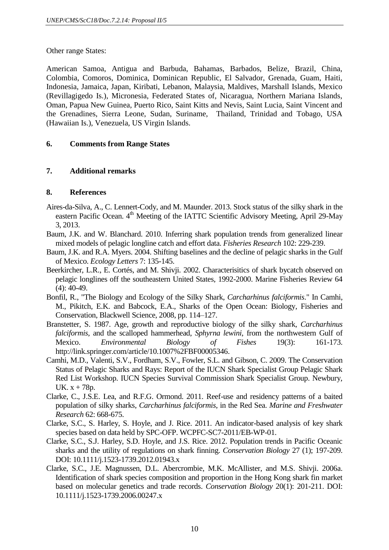Other range States:

American Samoa, Antigua and Barbuda, Bahamas, Barbados, Belize, Brazil, China, Colombia, Comoros, Dominica, Dominican Republic, El Salvador, Grenada, Guam, Haiti, Indonesia, Jamaica, Japan, Kiribati, Lebanon, Malaysia, Maldives, Marshall Islands, Mexico (Revillagigedo Is.), Micronesia, Federated States of, Nicaragua, Northern Mariana Islands, Oman, Papua New Guinea, Puerto Rico, Saint Kitts and Nevis, Saint Lucia, Saint Vincent and the Grenadines, Sierra Leone, Sudan, Suriname, Thailand, Trinidad and Tobago, USA (Hawaiian Is.), Venezuela, US Virgin Islands.

#### **6. Comments from Range States**

#### **7. Additional remarks**

#### **8. References**

- Aires-da-Silva, A., C. Lennert-Cody, and M. Maunder. 2013. Stock status of the silky shark in the eastern Pacific Ocean. 4<sup>th</sup> Meeting of the IATTC Scientific Advisory Meeting, April 29-May 3, 2013.
- Baum, J.K. and W. Blanchard. 2010. Inferring shark population trends from generalized linear mixed models of pelagic longline catch and effort data. *Fisheries Research* 102: 229-239.
- Baum, J.K. and R.A. Myers. 2004. Shifting baselines and the decline of pelagic sharks in the Gulf of Mexico. *Ecology Letters* 7: 135-145.
- Beerkircher, L.R., E. Cortés, and M. Shivji. 2002. Characterisitics of shark bycatch observed on pelagic longlines off the southeastern United States, 1992-2000. Marine Fisheries Review 64 (4): 40-49.
- Bonfil, R., "The Biology and Ecology of the Silky Shark, *Carcharhinus falciformis*." In Camhi, M., Pikitch, E.K. and Babcock, E.A., Sharks of the Open Ocean: Biology, Fisheries and Conservation, Blackwell Science, 2008, pp. 114–127.
- Branstetter, S. 1987. Age, growth and reproductive biology of the silky shark, *Carcharhinus falciformis*, and the scalloped hammerhead, *Sphyrna lewini*, from the northwestern Gulf of Mexico. *Environmental Biology of Fishes* 19(3): 161-173. http://link.springer.com/article/10.1007%2FBF00005346.
- Camhi, M.D., Valenti, S.V., Fordham, S.V., Fowler, S.L. and Gibson, C. 2009. The Conservation Status of Pelagic Sharks and Rays: Report of the IUCN Shark Specialist Group Pelagic Shark Red List Workshop. IUCN Species Survival Commission Shark Specialist Group. Newbury, UK.  $x + 78p$ .
- Clarke, C., J.S.E. Lea, and R.F.G. Ormond. 2011. Reef-use and residency patterns of a baited population of silky sharks, *Carcharhinus falciformis*, in the Red Sea. *Marine and Freshwater Research* 62: 668-675.
- Clarke, S.C., S. Harley, S. Hoyle, and J. Rice. 2011. An indicator-based analysis of key shark species based on data held by SPC-OFP. WCPFC-SC7-2011/EB-WP-01.
- Clarke, S.C., S.J. Harley, S.D. Hoyle, and J.S. Rice. 2012. Population trends in Pacific Oceanic sharks and the utility of regulations on shark finning. *Conservation Biology* 27 (1); 197-209. DOI: 10.1111/j.1523-1739.2012.01943.x
- Clarke, S.C., J.E. Magnussen, D.L. Abercrombie, M.K. McAllister, and M.S. Shivji. 2006a. Identification of shark species composition and proportion in the Hong Kong shark fin market based on molecular genetics and trade records. *Conservation Biology* 20(1): 201-211. DOI: 10.1111/j.1523-1739.2006.00247.x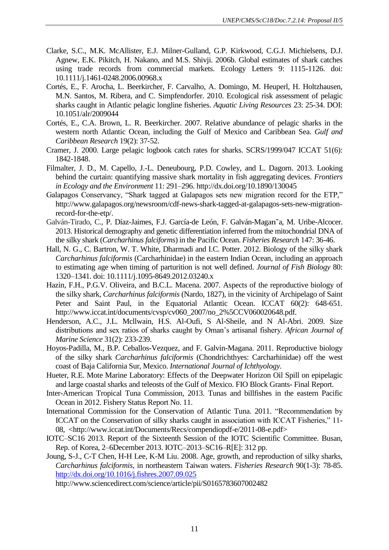- Clarke, S.C., M.K. McAllister, E.J. Milner-Gulland, G.P. Kirkwood, C.G.J. Michielsens, D.J. Agnew, E.K. Pikitch, H. Nakano, and M.S. Shivji. 2006b. Global estimates of shark catches using trade records from commercial markets. Ecology Letters 9: 1115-1126. doi: 10.1111/j.1461-0248.2006.00968.x
- Cortés, E., F. Arocha, L. Beerkircher, F. Carvalho, A. Domingo, M. Heuperl, H. Holtzhausen, M.N. Santos, M. Ribera, and C. Simpfendorfer. 2010. Ecological risk assessment of pelagic sharks caught in Atlantic pelagic longline fisheries. *Aquatic Living Resources* 23: 25-34. DOI: 10.1051/alr/2009044
- Cortés, E., C.A. Brown, L. R. Beerkircher. 2007. Relative abundance of pelagic sharks in the western north Atlantic Ocean, including the Gulf of Mexico and Caribbean Sea. *Gulf and Caribbean Research* 19(2): 37-52.
- Cramer, J. 2000. Large pelagic logbook catch rates for sharks. SCRS/1999/047 ICCAT 51(6): 1842-1848.
- Filmalter, J. D., M. Capello, J.-L. Deneubourg, P.D. Cowley, and L. Dagorn. 2013. Looking behind the curtain: quantifying massive shark mortality in fish aggregating devices. *Frontiers in Ecology and the Environment* 11: 291–296. http://dx.doi.org/10.1890/130045
- Galapagos Conservancy, "Shark tagged at Galapagos sets new migration record for the ETP," http://www.galapagos.org/newsroom/cdf-news-shark-tagged-at-galapagos-sets-new-migrationrecord-for-the-etp/.
- Galván-Tirado, C., P. Díaz-Jaimes, F.J. García-de León, F. Galván-Magan˜a, M. Uribe-Alcocer. 2013. Historical demography and genetic differentiation inferred from the mitochondrial DNA of the silky shark (*Carcharhinus falciforms*) in the Pacific Ocean. *Fisheries Research* 147: 36-46.
- Hall, N. G., C. Bartron, W. T. White, Dharmadi and I.C. Potter. 2012. Biology of the silky shark *Carcharhinus falciformis* (Carcharhinidae) in the eastern Indian Ocean, including an approach to estimating age when timing of parturition is not well defined. *Journal of Fish Biology* 80: 1320–1341. doi: 10.1111/j.1095-8649.2012.03240.x
- Hazin, F.H., P.G.V. Oliveira, and B.C.L. Macena. 2007. Aspects of the reproductive biology of the silky shark, *Carcharhinus falciformis* (Nardo, 1827), in the vicinity of Archipelago of Saint Peter and Saint Paul, in the Equatorial Atlantic Ocean. ICCAT 60(2): 648-651. http://www.iccat.int/documents/cvsp/cv060\_2007/no\_2%5CCV060020648.pdf.
- Henderson, A.C., J.L. Mcllwain, H.S. Al-Oufi, S Al-Sheile, and N Al-Abri. 2009. Size distributions and sex ratios of sharks caught by Oman's artisanal fishery. *African Journal of Marine Science* 31(2): 233-239.
- Hoyos-Padilla, M., B.P. Ceballos-Vezquez, and F. Galvin-Magana. 2011. Reproductive biology of the silky shark *Carcharhinus falciformis* (Chondrichthyes: Carcharhinidae) off the west coast of Baja California Sur, Mexico. *International Journal of Ichthyology.*
- Hueter, R.E. Mote Marine Laboratory: Effects of the Deepwater Horizon Oil Spill on epipelagic and large coastal sharks and teleosts of the Gulf of Mexico. FIO Block Grants- Final Report.
- Inter-American Tropical Tuna Commission, 2013. Tunas and billfishes in the eastern Pacific Ocean in 2012. Fishery Status Report No. 11.
- International Commission for the Conservation of Atlantic Tuna. 2011. "Recommendation by ICCAT on the Conservation of silky sharks caught in association with ICCAT Fisheries," 11- 08, <http://www.iccat.int/Documents/Recs/compendiopdf-e/2011-08-e.pdf>
- IOTC–SC16 2013. Report of the Sixteenth Session of the IOTC Scientific Committee. Busan, Rep. of Korea, 2–6December 2013. IOTC–2013–SC16–R[E]: 312 pp.
- Joung, S-J., C-T Chen, H-H Lee, K-M Liu. 2008. Age, growth, and reproduction of silky sharks, *Carcharhinus falciformis*, in northeastern Taiwan waters. *Fisheries Research* 90(1-3): 78-85. <http://dx.doi.org/10.1016/j.fishres.2007.09.025>

http://www.sciencedirect.com/science/article/pii/S0165783607002482